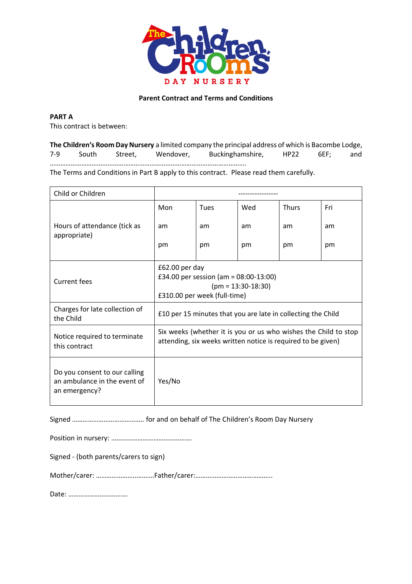

### **Parent Contract and Terms and Conditions**

**PART A**

This contract is between:

**The Children's Room Day Nursery** a limited company the principal address of which is Bacombe Lodge, 7-9 South Street, Wendover, Buckinghamshire, HP22 6EF; and ………………………………………………………………………………………………….

The Terms and Conditions in Part B apply to this contract. Please read them carefully.

| Child or Children                                                              |                                                                                                                                 |      |     |              |     |
|--------------------------------------------------------------------------------|---------------------------------------------------------------------------------------------------------------------------------|------|-----|--------------|-----|
|                                                                                | Mon                                                                                                                             | Tues | Wed | <b>Thurs</b> | Fri |
| Hours of attendance (tick as<br>appropriate)                                   | am                                                                                                                              | am   | am  | am           | am  |
|                                                                                | pm                                                                                                                              | pm   | pm  | pm           | pm  |
| Current fees                                                                   | £62.00 per day<br>£34.00 per session (am = $08:00-13:00$ )<br>$(pm = 13:30-18:30)$<br>£310.00 per week (full-time)              |      |     |              |     |
| Charges for late collection of<br>the Child                                    | £10 per 15 minutes that you are late in collecting the Child                                                                    |      |     |              |     |
| Notice required to terminate<br>this contract                                  | Six weeks (whether it is you or us who wishes the Child to stop<br>attending, six weeks written notice is required to be given) |      |     |              |     |
| Do you consent to our calling<br>an ambulance in the event of<br>an emergency? | Yes/No                                                                                                                          |      |     |              |     |

Signed ………………………………….. for and on behalf of The Children's Room Day Nursery

Position in nursery: ……………………………………….

Signed - (both parents/carers to sign)

Mother/carer: …………………..……….Father/carer:……………………………………..

Date: …………………………….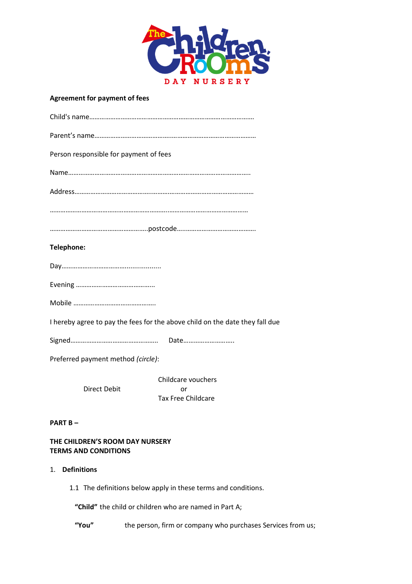

# **Agreement for payment of fees**

| Person responsible for payment of fees                                       |
|------------------------------------------------------------------------------|
|                                                                              |
|                                                                              |
|                                                                              |
|                                                                              |
| Telephone:                                                                   |
|                                                                              |
|                                                                              |
|                                                                              |
| I hereby agree to pay the fees for the above child on the date they fall due |
| Date                                                                         |
| Preferred payment method (circle):                                           |
|                                                                              |

Direct Debit Childcare vouchers or Tax Free Childcare

**PART B –**

## **THE CHILDREN'S ROOM DAY NURSERY TERMS AND CONDITIONS**

# 1. **Definitions**

1.1 The definitions below apply in these terms and conditions.

**"Child"** the child or children who are named in Part A;

**"You"** the person, firm or company who purchases Services from us;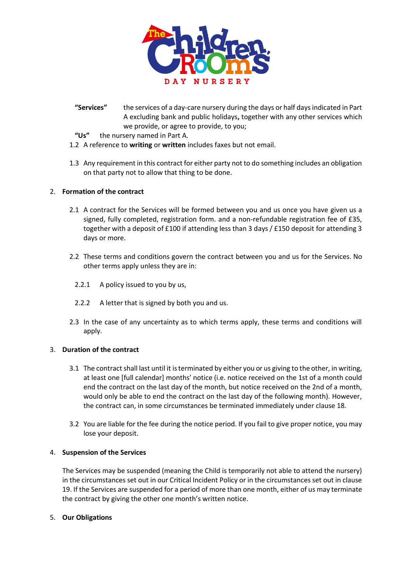

- **"Services"** the services of a day-care nursery during the days or half days indicated in Part A excluding bank and public holidays**,** together with any other services which we provide, or agree to provide, to you;
- **"Us"** the nursery named in Part A.
- 1.2 A reference to **writing** or **written** includes faxes but not email.
- 1.3 Any requirement in this contract for either party not to do something includes an obligation on that party not to allow that thing to be done.

## 2. **Formation of the contract**

- 2.1 A contract for the Services will be formed between you and us once you have given us a signed, fully completed, registration form. and a non-refundable registration fee of £35, together with a deposit of £100 if attending less than 3 days / £150 deposit for attending 3 days or more.
- 2.2 These terms and conditions govern the contract between you and us for the Services. No other terms apply unless they are in:
	- 2.2.1 A policy issued to you by us,
	- 2.2.2 A letter that is signed by both you and us.
- 2.3 In the case of any uncertainty as to which terms apply, these terms and conditions will apply.

### 3. **Duration of the contract**

- 3.1 The contract shall last until it is terminated by either you or us giving to the other, in writing, at least one [full calendar] months' notice (i.e. notice received on the 1st of a month could end the contract on the last day of the month, but notice received on the 2nd of a month, would only be able to end the contract on the last day of the following month). However, the contract can, in some circumstances be terminated immediately under clause 18.
- 3.2 You are liable for the fee during the notice period. If you fail to give proper notice, you may lose your deposit.

### 4. **Suspension of the Services**

The Services may be suspended (meaning the Child is temporarily not able to attend the nursery) in the circumstances set out in our Critical Incident Policy or in the circumstances set out in clause 19. If the Services are suspended for a period of more than one month, either of us may terminate the contract by giving the other one month's written notice.

### 5. **Our Obligations**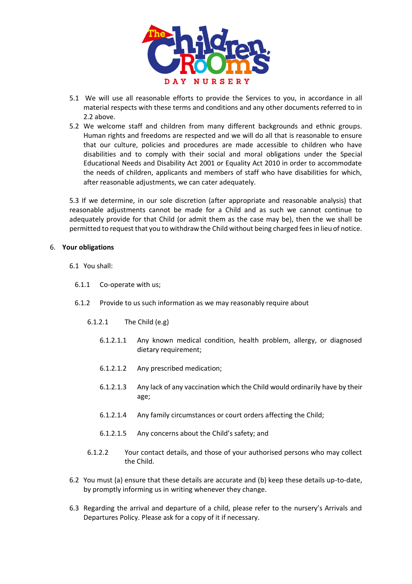

- 5.1 We will use all reasonable efforts to provide the Services to you, in accordance in all material respects with these terms and conditions and any other documents referred to in 2.2 above.
- 5.2 We welcome staff and children from many different backgrounds and ethnic groups. Human rights and freedoms are respected and we will do all that is reasonable to ensure that our culture, policies and procedures are made accessible to children who have disabilities and to comply with their social and moral obligations under the Special Educational Needs and Disability Act 2001 or Equality Act 2010 in order to accommodate the needs of children, applicants and members of staff who have disabilities for which, after reasonable adjustments, we can cater adequately.

5.3 If we determine, in our sole discretion (after appropriate and reasonable analysis) that reasonable adjustments cannot be made for a Child and as such we cannot continue to adequately provide for that Child (or admit them as the case may be), then the we shall be permitted to request that you to withdraw the Child without being charged fees in lieu of notice.

#### 6. **Your obligations**

- 6.1 You shall:
	- 6.1.1 Co-operate with us;
	- 6.1.2 Provide to us such information as we may reasonably require about
		- 6.1.2.1 The Child (e.g)
			- 6.1.2.1.1 Any known medical condition, health problem, allergy, or diagnosed dietary requirement;
			- 6.1.2.1.2 Any prescribed medication;
			- 6.1.2.1.3 Any lack of any vaccination which the Child would ordinarily have by their age;
			- 6.1.2.1.4 Any family circumstances or court orders affecting the Child;
			- 6.1.2.1.5 Any concerns about the Child's safety; and
		- 6.1.2.2 Your contact details, and those of your authorised persons who may collect the Child.
- 6.2 You must (a) ensure that these details are accurate and (b) keep these details up-to-date, by promptly informing us in writing whenever they change.
- 6.3 Regarding the arrival and departure of a child, please refer to the nursery's Arrivals and Departures Policy. Please ask for a copy of it if necessary.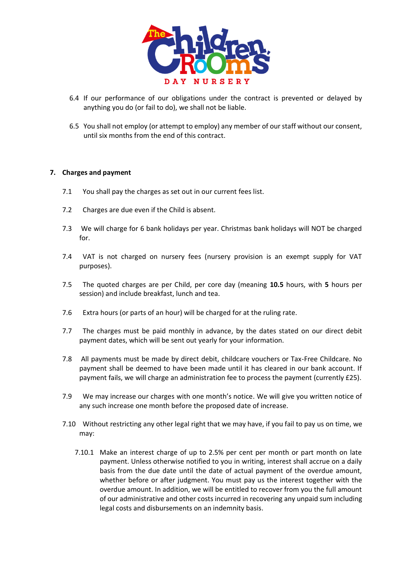

- 6.4 If our performance of our obligations under the contract is prevented or delayed by anything you do (or fail to do), we shall not be liable.
- 6.5 You shall not employ (or attempt to employ) any member of our staff without our consent, until six months from the end of this contract.

### **7. Charges and payment**

- 7.1 You shall pay the charges as set out in our current fees list.
- 7.2 Charges are due even if the Child is absent.
- 7.3 We will charge for 6 bank holidays per year. Christmas bank holidays will NOT be charged for.
- 7.4 VAT is not charged on nursery fees (nursery provision is an exempt supply for VAT purposes).
- 7.5 The quoted charges are per Child, per core day (meaning **10.5** hours, with **5** hours per session) and include breakfast, lunch and tea.
- 7.6 Extra hours (or parts of an hour) will be charged for at the ruling rate.
- 7.7 The charges must be paid monthly in advance, by the dates stated on our direct debit payment dates, which will be sent out yearly for your information.
- 7.8 All payments must be made by direct debit, childcare vouchers or Tax-Free Childcare. No payment shall be deemed to have been made until it has cleared in our bank account. If payment fails, we will charge an administration fee to process the payment (currently £25).
- 7.9 We may increase our charges with one month's notice. We will give you written notice of any such increase one month before the proposed date of increase.
- 7.10 Without restricting any other legal right that we may have, if you fail to pay us on time, we may:
	- 7.10.1 Make an interest charge of up to 2.5% per cent per month or part month on late payment. Unless otherwise notified to you in writing, interest shall accrue on a daily basis from the due date until the date of actual payment of the overdue amount, whether before or after judgment. You must pay us the interest together with the overdue amount. In addition, we will be entitled to recover from you the full amount of our administrative and other costs incurred in recovering any unpaid sum including legal costs and disbursements on an indemnity basis.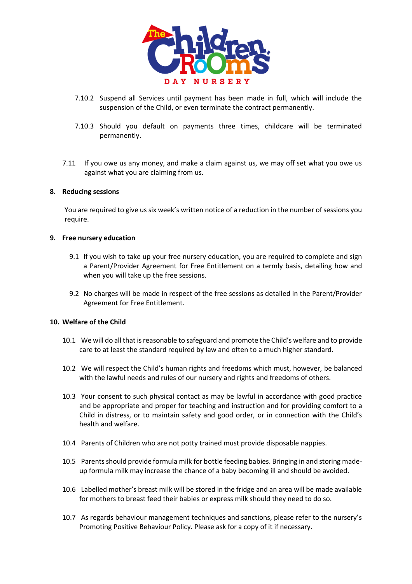

- 7.10.2 Suspend all Services until payment has been made in full, which will include the suspension of the Child, or even terminate the contract permanently.
- 7.10.3 Should you default on payments three times, childcare will be terminated permanently.
- 7.11 If you owe us any money, and make a claim against us, we may off set what you owe us against what you are claiming from us.

#### **8. Reducing sessions**

You are required to give us six week's written notice of a reduction in the number of sessions you require.

#### **9. Free nursery education**

- 9.1 If you wish to take up your free nursery education, you are required to complete and sign a Parent/Provider Agreement for Free Entitlement on a termly basis, detailing how and when you will take up the free sessions.
- 9.2 No charges will be made in respect of the free sessions as detailed in the Parent/Provider Agreement for Free Entitlement.

### **10. Welfare of the Child**

- 10.1 We will do all that is reasonable to safeguard and promote the Child's welfare and to provide care to at least the standard required by law and often to a much higher standard.
- 10.2 We will respect the Child's human rights and freedoms which must, however, be balanced with the lawful needs and rules of our nursery and rights and freedoms of others.
- 10.3 Your consent to such physical contact as may be lawful in accordance with good practice and be appropriate and proper for teaching and instruction and for providing comfort to a Child in distress, or to maintain safety and good order, or in connection with the Child's health and welfare.
- 10.4 Parents of Children who are not potty trained must provide disposable nappies.
- 10.5 Parents should provide formula milk for bottle feeding babies. Bringing in and storing madeup formula milk may increase the chance of a baby becoming ill and should be avoided.
- 10.6 Labelled mother's breast milk will be stored in the fridge and an area will be made available for mothers to breast feed their babies or express milk should they need to do so.
- 10.7 As regards behaviour management techniques and sanctions, please refer to the nursery's Promoting Positive Behaviour Policy. Please ask for a copy of it if necessary.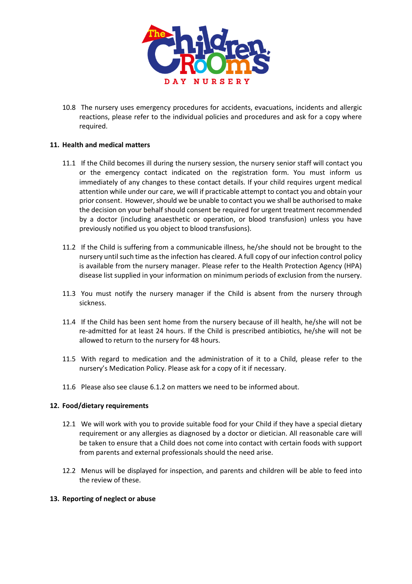

10.8 The nursery uses emergency procedures for accidents, evacuations, incidents and allergic reactions, please refer to the individual policies and procedures and ask for a copy where required.

### **11. Health and medical matters**

- 11.1 If the Child becomes ill during the nursery session, the nursery senior staff will contact you or the emergency contact indicated on the registration form. You must inform us immediately of any changes to these contact details. If your child requires urgent medical attention while under our care, we will if practicable attempt to contact you and obtain your prior consent. However, should we be unable to contact you we shall be authorised to make the decision on your behalf should consent be required for urgent treatment recommended by a doctor (including anaesthetic or operation, or blood transfusion) unless you have previously notified us you object to blood transfusions).
- 11.2 If the Child is suffering from a communicable illness, he/she should not be brought to the nursery until such time as the infection has cleared. A full copy of our infection control policy is available from the nursery manager. Please refer to the Health Protection Agency (HPA) disease list supplied in your information on minimum periods of exclusion from the nursery.
- 11.3 You must notify the nursery manager if the Child is absent from the nursery through sickness.
- 11.4 If the Child has been sent home from the nursery because of ill health, he/she will not be re-admitted for at least 24 hours. If the Child is prescribed antibiotics, he/she will not be allowed to return to the nursery for 48 hours.
- 11.5 With regard to medication and the administration of it to a Child, please refer to the nursery's Medication Policy. Please ask for a copy of it if necessary.
- 11.6 Please also see clause 6.1.2 on matters we need to be informed about.

### **12. Food/dietary requirements**

- 12.1 We will work with you to provide suitable food for your Child if they have a special dietary requirement or any allergies as diagnosed by a doctor or dietician. All reasonable care will be taken to ensure that a Child does not come into contact with certain foods with support from parents and external professionals should the need arise.
- 12.2 Menus will be displayed for inspection, and parents and children will be able to feed into the review of these.

### **13. Reporting of neglect or abuse**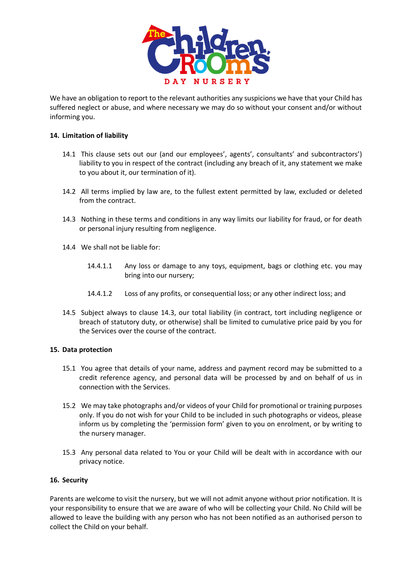

We have an obligation to report to the relevant authorities any suspicions we have that your Child has suffered neglect or abuse, and where necessary we may do so without your consent and/or without informing you.

### **14. Limitation of liability**

- 14.1 This clause sets out our (and our employees', agents', consultants' and subcontractors') liability to you in respect of the contract (including any breach of it, any statement we make to you about it, our termination of it).
- 14.2 All terms implied by law are, to the fullest extent permitted by law, excluded or deleted from the contract.
- 14.3 Nothing in these terms and conditions in any way limits our liability for fraud, or for death or personal injury resulting from negligence.
- 14.4 We shall not be liable for:
	- 14.4.1.1 Any loss or damage to any toys, equipment, bags or clothing etc. you may bring into our nursery;
	- 14.4.1.2 Loss of any profits, or consequential loss; or any other indirect loss; and
- 14.5 Subject always to clause 14.3, our total liability (in contract, tort including negligence or breach of statutory duty, or otherwise) shall be limited to cumulative price paid by you for the Services over the course of the contract.

### **15. Data protection**

- 15.1 You agree that details of your name, address and payment record may be submitted to a credit reference agency, and personal data will be processed by and on behalf of us in connection with the Services.
- 15.2 We may take photographs and/or videos of your Child for promotional or training purposes only. If you do not wish for your Child to be included in such photographs or videos, please inform us by completing the 'permission form' given to you on enrolment, or by writing to the nursery manager.
- 15.3 Any personal data related to You or your Child will be dealt with in accordance with our privacy notice.

### **16. Security**

Parents are welcome to visit the nursery, but we will not admit anyone without prior notification. It is your responsibility to ensure that we are aware of who will be collecting your Child. No Child will be allowed to leave the building with any person who has not been notified as an authorised person to collect the Child on your behalf.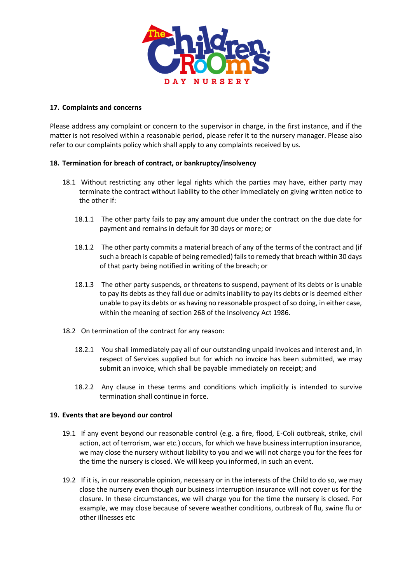

### **17. Complaints and concerns**

Please address any complaint or concern to the supervisor in charge, in the first instance, and if the matter is not resolved within a reasonable period, please refer it to the nursery manager. Please also refer to our complaints policy which shall apply to any complaints received by us.

## **18. Termination for breach of contract, or bankruptcy/insolvency**

- 18.1 Without restricting any other legal rights which the parties may have, either party may terminate the contract without liability to the other immediately on giving written notice to the other if:
	- 18.1.1 The other party fails to pay any amount due under the contract on the due date for payment and remains in default for 30 days or more; or
	- 18.1.2 The other party commits a material breach of any of the terms of the contract and (if such a breach is capable of being remedied) fails to remedy that breach within 30 days of that party being notified in writing of the breach; or
	- 18.1.3 The other party suspends, or threatens to suspend, payment of its debts or is unable to pay its debts as they fall due or admits inability to pay its debts or is deemed either unable to pay its debts or as having no reasonable prospect of so doing, in either case, within the meaning of section 268 of the Insolvency Act 1986.
- 18.2 On termination of the contract for any reason:
	- 18.2.1 You shall immediately pay all of our outstanding unpaid invoices and interest and, in respect of Services supplied but for which no invoice has been submitted, we may submit an invoice, which shall be payable immediately on receipt; and
	- 18.2.2 Any clause in these terms and conditions which implicitly is intended to survive termination shall continue in force.

### **19. Events that are beyond our control**

- 19.1 If any event beyond our reasonable control (e.g. a fire, flood, E-Coli outbreak, strike, civil action, act of terrorism, war etc.) occurs, for which we have business interruption insurance, we may close the nursery without liability to you and we will not charge you for the fees for the time the nursery is closed. We will keep you informed, in such an event.
- 19.2 If it is, in our reasonable opinion, necessary or in the interests of the Child to do so, we may close the nursery even though our business interruption insurance will not cover us for the closure. In these circumstances, we will charge you for the time the nursery is closed. For example, we may close because of severe weather conditions, outbreak of flu, swine flu or other illnesses etc